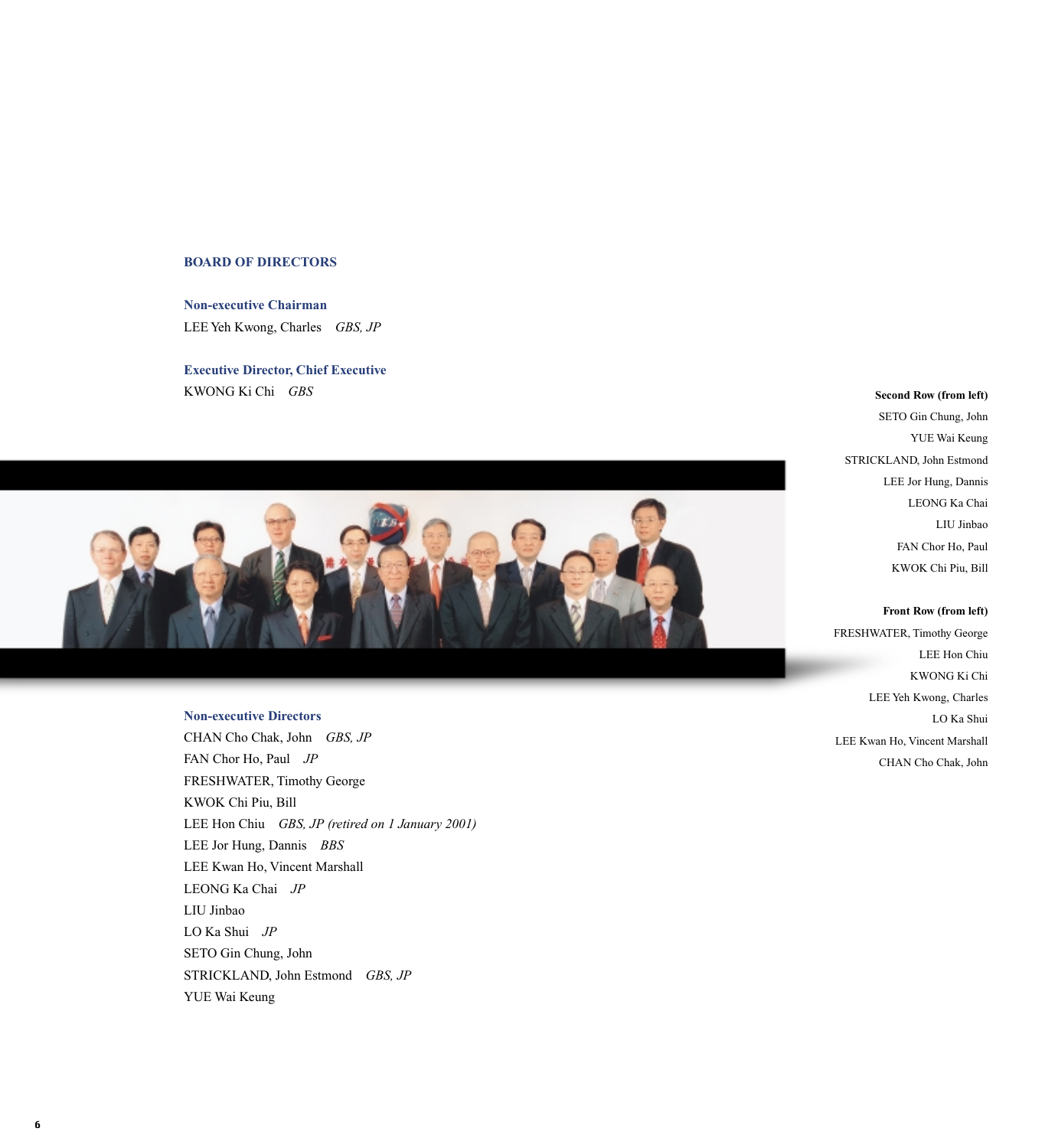## **BOARD OF DIRECTORS**

**Non-executive Chairman** LEE Yeh Kwong, Charles *GBS, JP*

**Executive Director, Chief Executive** KWONG Ki Chi *GBS*



#### **Non-executive Directors**

CHAN Cho Chak, John *GBS, JP* FAN Chor Ho, Paul *JP* FRESHWATER, Timothy George KWOK Chi Piu, Bill LEE Hon Chiu *GBS, JP (retired on 1 January 2001)* LEE Jor Hung, Dannis *BBS* LEE Kwan Ho, Vincent Marshall LEONG Ka Chai *JP* LIU Jinbao LO Ka Shui *JP* SETO Gin Chung, John STRICKLAND, John Estmond *GBS, JP* YUE Wai Keung

## **Second Row (from left)**

SETO Gin Chung, John YUE Wai Keung STRICKLAND, John Estmond LEE Jor Hung, Dannis LEONG Ka Chai LIU Jinbao FAN Chor Ho, Paul KWOK Chi Piu, Bill

**Front Row (from left)** FRESHWATER, Timothy George LEE Hon Chiu KWONG Ki Chi LEE Yeh Kwong, Charles LO Ka Shui LEE Kwan Ho, Vincent Marshall CHAN Cho Chak, John